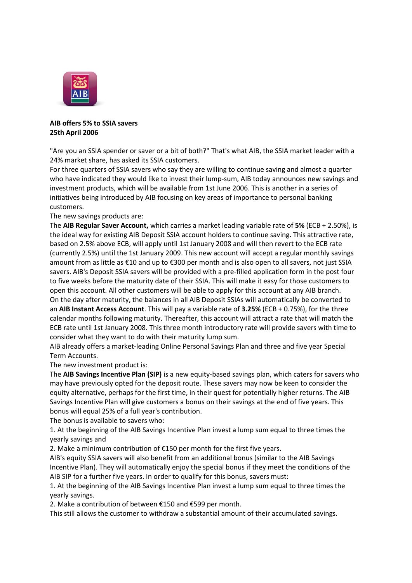

## **AIB offers 5% to SSIA savers 25th April 2006**

"Are you an SSIA spender or saver or a bit of both?" That's what AIB, the SSIA market leader with a 24% market share, has asked its SSIA customers.

For three quarters of SSIA savers who say they are willing to continue saving and almost a quarter who have indicated they would like to invest their lump-sum, AIB today announces new savings and investment products, which will be available from 1st June 2006. This is another in a series of initiatives being introduced by AIB focusing on key areas of importance to personal banking customers.

## The new savings products are:

The **AIB Regular Saver Account,** which carries a market leading variable rate of **5%** (ECB + 2.50%), is the ideal way for existing AIB Deposit SSIA account holders to continue saving. This attractive rate, based on 2.5% above ECB, will apply until 1st January 2008 and will then revert to the ECB rate (currently 2.5%) until the 1st January 2009. This new account will accept a regular monthly savings amount from as little as €10 and up to €300 per month and is also open to all savers, not just SSIA savers. AIB's Deposit SSIA savers will be provided with a pre-filled application form in the post four to five weeks before the maturity date of their SSIA. This will make it easy for those customers to open this account. All other customers will be able to apply for this account at any AIB branch. On the day after maturity, the balances in all AIB Deposit SSIAs will automatically be converted to an **AIB Instant Access Account**. This will pay a variable rate of **3.25%** (ECB + 0.75%), for the three calendar months following maturity. Thereafter, this account will attract a rate that will match the ECB rate until 1st January 2008. This three month introductory rate will provide savers with time to consider what they want to do with their maturity lump sum.

AIB already offers a market-leading Online Personal Savings Plan and three and five year Special Term Accounts.

The new investment product is:

The **AIB Savings Incentive Plan (SIP)** is a new equity-based savings plan, which caters for savers who may have previously opted for the deposit route. These savers may now be keen to consider the equity alternative, perhaps for the first time, in their quest for potentially higher returns. The AIB Savings Incentive Plan will give customers a bonus on their savings at the end of five years. This bonus will equal 25% of a full year's contribution.

The bonus is available to savers who:

1. At the beginning of the AIB Savings Incentive Plan invest a lump sum equal to three times the yearly savings and

2. Make a minimum contribution of €150 per month for the first five years.

AIB's equity SSIA savers will also benefit from an additional bonus (similar to the AIB Savings Incentive Plan). They will automatically enjoy the special bonus if they meet the conditions of the AIB SIP for a further five years. In order to qualify for this bonus, savers must:

1. At the beginning of the AIB Savings Incentive Plan invest a lump sum equal to three times the yearly savings.

2. Make a contribution of between €150 and €599 per month.

This still allows the customer to withdraw a substantial amount of their accumulated savings.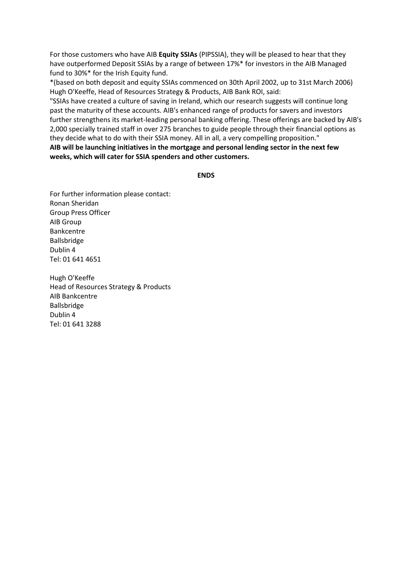For those customers who have AIB **Equity SSIAs** (PIPSSIA), they will be pleased to hear that they have outperformed Deposit SSIAs by a range of between 17%\* for investors in the AIB Managed fund to 30%\* for the Irish Equity fund.

\*(based on both deposit and equity SSIAs commenced on 30th April 2002, up to 31st March 2006) Hugh O'Keeffe, Head of Resources Strategy & Products, AIB Bank ROI, said:

"SSIAs have created a culture of saving in Ireland, which our research suggests will continue long past the maturity of these accounts. AIB's enhanced range of products for savers and investors further strengthens its market-leading personal banking offering. These offerings are backed by AIB's 2,000 specially trained staff in over 275 branches to guide people through their financial options as they decide what to do with their SSIA money. All in all, a very compelling proposition." **AIB will be launching initiatives in the mortgage and personal lending sector in the next few** 

**ENDS**

For further information please contact: Ronan Sheridan Group Press Officer AIB Group Bankcentre Ballsbridge Dublin 4 Tel: 01 641 4651

**weeks, which will cater for SSIA spenders and other customers.**

Hugh O'Keeffe Head of Resources Strategy & Products AIB Bankcentre Ballsbridge Dublin 4 Tel: 01 641 3288